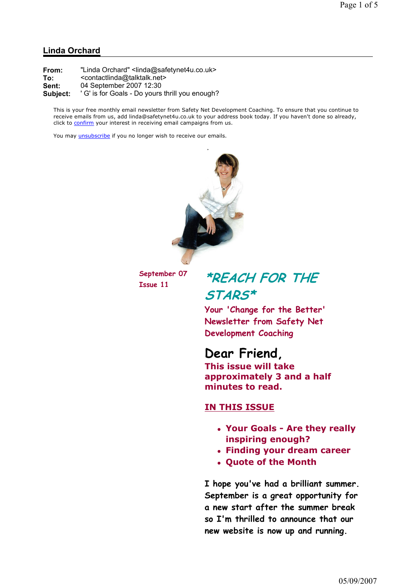#### Linda Orchard

From: "Linda Orchard" <linda@safetynet4u.co.uk> To: <contactlinda@talktalk.net> Sent: 04 September 2007 12:30 Subject: 'G' is for Goals - Do yours thrill you enough?

This is your free monthly email newsletter from Safety Net Development Coaching. To ensure that you continue to receive emails from us, add linda@safetynet4u.co.uk to your address book today. If you haven't done so already, click to confirm your interest in receiving email campaigns from us.

You may *unsubscribe* if you no longer wish to receive our emails.



September 07

## September 07  $*REACH FOR THE$ STARS\*

Your 'Change for the Better' Newsletter from Safety Net Development Coaching

### Dear Friend,

This issue will take approximately 3 and a half minutes to read.

#### IN THIS ISSUE

- Your Goals Are they really inspiring enough?
- Finding your dream career
- Quote of the Month

I hope you've had a brilliant summer. September is a great opportunity for a new start after the summer break so I'm thrilled to announce that our new website is now up and running.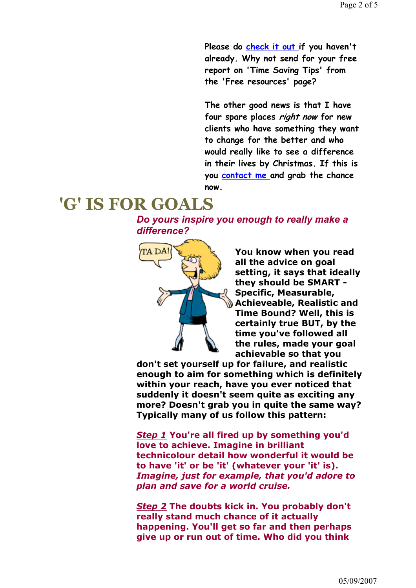Please do check it out if you haven't already. Why not send for your free report on 'Time Saving Tips' from the 'Free resources' page?

The other good news is that I have four spare places right now for new clients who have something they want to change for the better and who would really like to see a difference in their lives by Christmas. If this is you contact me and grab the chance now.

### 'G' IS FOR GOALS

Do yours inspire you enough to really make a difference?



You know when you read all the advice on goal setting, it says that ideally they should be SMART - Specific, Measurable, Achieveable, Realistic and Time Bound? Well, this is certainly true BUT, by the time you've followed all the rules, made your goal achievable so that you

don't set yourself up for failure, and realistic enough to aim for something which is definitely within your reach, have you ever noticed that suddenly it doesn't seem quite as exciting any more? Doesn't grab you in quite the same way? Typically many of us follow this pattern:

Step 1 You're all fired up by something you'd love to achieve. Imagine in brilliant technicolour detail how wonderful it would be to have 'it' or be 'it' (whatever your 'it' is). Imagine, just for example, that you'd adore to plan and save for a world cruise.

Step 2 The doubts kick in. You probably don't really stand much chance of it actually happening. You'll get so far and then perhaps give up or run out of time. Who did you think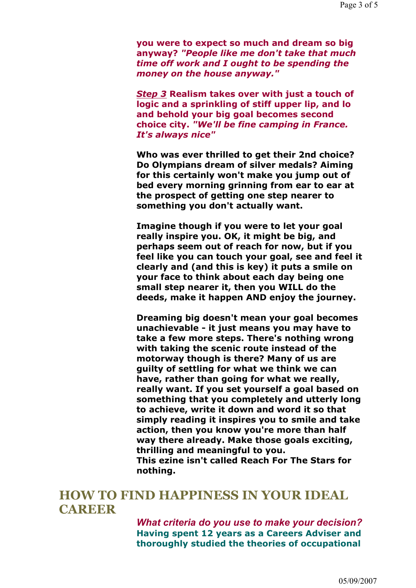you were to expect so much and dream so big anyway? "People like me don't take that much time off work and I ought to be spending the money on the house anyway."

Step 3 Realism takes over with just a touch of logic and a sprinkling of stiff upper lip, and lo and behold your big goal becomes second choice city. "We'll be fine camping in France. It's always nice"

Who was ever thrilled to get their 2nd choice? Do Olympians dream of silver medals? Aiming for this certainly won't make you jump out of bed every morning grinning from ear to ear at the prospect of getting one step nearer to something you don't actually want.

Imagine though if you were to let your goal really inspire you. OK, it might be big, and perhaps seem out of reach for now, but if you feel like you can touch your goal, see and feel it clearly and (and this is key) it puts a smile on your face to think about each day being one small step nearer it, then you WILL do the deeds, make it happen AND enjoy the journey.

Dreaming big doesn't mean your goal becomes unachievable - it just means you may have to take a few more steps. There's nothing wrong with taking the scenic route instead of the motorway though is there? Many of us are guilty of settling for what we think we can have, rather than going for what we really, really want. If you set yourself a goal based on something that you completely and utterly long to achieve, write it down and word it so that simply reading it inspires you to smile and take action, then you know you're more than half way there already. Make those goals exciting, thrilling and meaningful to you. This ezine isn't called Reach For The Stars for nothing.

### HOW TO FIND HAPPINESS IN YOUR IDEAL **CAREER**

What criteria do you use to make your decision? Having spent 12 years as a Careers Adviser and thoroughly studied the theories of occupational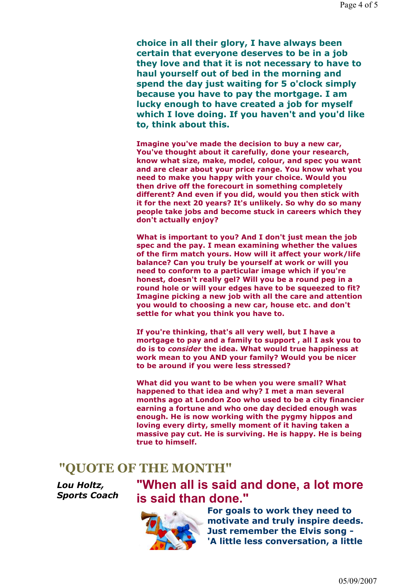choice in all their glory, I have always been certain that everyone deserves to be in a job they love and that it is not necessary to have to haul yourself out of bed in the morning and spend the day just waiting for 5 o'clock simply because you have to pay the mortgage. I am lucky enough to have created a job for myself which I love doing. If you haven't and you'd like to, think about this.

Imagine you've made the decision to buy a new car, You've thought about it carefully, done your research, know what size, make, model, colour, and spec you want and are clear about your price range. You know what you need to make you happy with your choice. Would you then drive off the forecourt in something completely different? And even if you did, would you then stick with it for the next 20 years? It's unlikely. So why do so many people take jobs and become stuck in careers which they don't actually enjoy?

What is important to you? And I don't just mean the job spec and the pay. I mean examining whether the values of the firm match yours. How will it affect your work/life balance? Can you truly be yourself at work or will you need to conform to a particular image which if you're honest, doesn't really gel? Will you be a round peg in a round hole or will your edges have to be squeezed to fit? Imagine picking a new job with all the care and attention you would to choosing a new car, house etc. and don't settle for what you think you have to.

If you're thinking, that's all very well, but I have a mortgage to pay and a family to support , all I ask you to do is to consider the idea. What would true happiness at work mean to you AND your family? Would you be nicer to be around if you were less stressed?

What did you want to be when you were small? What happened to that idea and why? I met a man several months ago at London Zoo who used to be a city financier earning a fortune and who one day decided enough was enough. He is now working with the pygmy hippos and loving every dirty, smelly moment of it having taken a massive pay cut. He is surviving. He is happy. He is being true to himself.

#### "QUOTE OF THE MONTH"

Lou Holtz, Sports Coach

## "When all is said and done, a lot more is said than done."



For goals to work they need to motivate and truly inspire deeds. Just remember the Elvis song - 'A little less conversation, a little